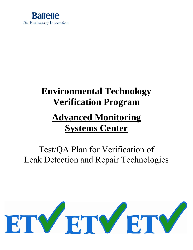

# **Environmental Technology Verification Program Advanced Monitoring Systems Center**

# Test/QA Plan for Verification of Leak Detection and Repair Technologies

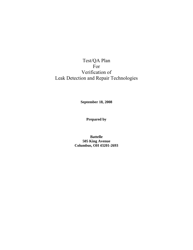# Test/QA Plan For Verification of Leak Detection and Repair Technologies

**September 18, 2008** 

**Prepared by** 

**Battelle 505 King Avenue Columbus, OH 43201-2693**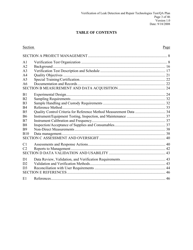# **TABLE OF CONTENTS**

| Section        | Page |
|----------------|------|
|                |      |
| A <sub>1</sub> |      |
| A <sub>2</sub> |      |
| A <sub>3</sub> |      |
| A <sub>4</sub> |      |
| A <sub>5</sub> |      |
| A6             |      |
|                |      |
| B <sub>1</sub> |      |
| B <sub>2</sub> |      |
| B <sub>3</sub> |      |
| <b>B4</b>      |      |
| B <sub>5</sub> |      |
| <b>B6</b>      |      |
| B7             |      |
| B8             |      |
| <b>B</b> 9     |      |
| <b>B10</b>     |      |
|                |      |
| C <sub>1</sub> |      |
| C <sub>2</sub> |      |
|                |      |
| D <sub>1</sub> |      |
| D2             |      |
| D <sub>3</sub> |      |
|                |      |
| E1             |      |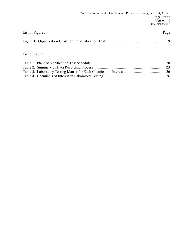| <b>List of Figures</b> | Page |
|------------------------|------|
|                        |      |

# List of Tables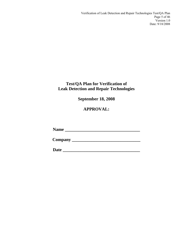# **Test/QA Plan for Verification of Leak Detection and Repair Technologies**

**September 18, 2008** 

# **APPROVAL:**

**Name \_\_\_\_\_\_\_\_\_\_\_\_\_\_\_\_\_\_\_\_\_\_\_\_\_\_\_\_\_\_\_\_\_\_** 

**Company \_\_\_\_\_\_\_\_\_\_\_\_\_\_\_\_\_\_\_\_\_\_\_\_\_\_\_\_\_\_\_** 

**Date \_\_\_\_\_\_\_\_\_\_\_\_\_\_\_\_\_\_\_\_\_\_\_\_\_\_\_\_\_\_\_\_\_\_\_**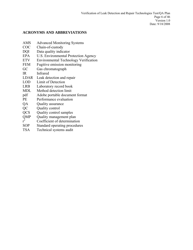# **ACRONYMS AND ABBREVIATIONS**

- AMS Advanced Monitoring Systems
- COC Chain-of-custody
- DQI Data quality indicator
- EPA U.S. Environmental Protection Agency
- ETV Environmental Technology Verification
- FEM Fugitive emission monitoring
- GC Gas chromatograph
- IR Infrared
- LDAR Leak detection and repair
- LOD Limit of Detection
- LRB Laboratory record book
- MDL Method detection limit
- pdf Adobe portable document format
- PE Performance evaluation
- QA Quality assurance
- QC Quality control
- QCS Quality control samples
- Quality management plan  $QMP$ <br> $r^2$
- Coefficient of determination
- SOP Standard operating procedures
- TSA Technical systems audit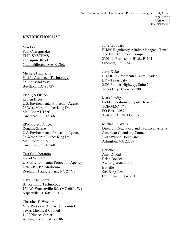# **DISTRIBUTION LIST**

Vendors Paul Czerepuszko FLIR SYSTEMS 25 Esquire Road North Billerica, MA 01862

Michele Hinnrichs Pacific Advanced Technology 85 Industrial Way Buellton, CA 93427

EPA QA Officer Lauren Drees U.S. Environmental Protection Agency-26 West Martin Luther King Dr. Mail Code: N132C Cincinnati, OH 45268

EPA Project Officer Douglas Grosse U.S. Environmental Protection Agency-26 West Martin Luther King Dr. Mail Code: 208A Cincinnati, OH 45268

Test Collaborators David Williams U.S. Environmental Protection Agency-E243-05 EPA Mailroom Research Triangle Park, NC 27711

Dave Fashimpaur BP Refining Technology 150 W. Warrenville Rd. (MC 605-1W) Naperville, IL 60563 USA

Christina T. Wisdom Vice President & General Counsel Texas Chemical Council 1402 Nueces Street Austin, Texas 78701-1586

Julie Woodard EH&S Regulatory Affairs Manager - Texas The Dow Chemical Company 2301 N. Brazosport Blvd., B-101 Freeport, TX 77541

Jerry Duke LDAR Environmental Team Leader BP – Texas City 2501 Palmer Highway, Suite 200 Texas City, Texas 77590

Mark Leidig Field Operations Support Division TCEQ/MC-174 PO Box 13087 Austin, TX 78711-3087

Michael P. Walls Director, Regulatory and Technical Affairs American Chemistry Council 1300 Wilson Boulevard Arlington, VA 22209

Battelle Amy Dindal Brian Boczek Zachary Willenberg Battelle 505 King Ave. Columbus, OH 43201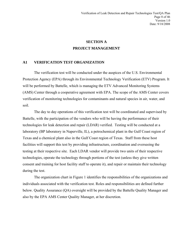# **SECTION A PROJECT MANAGEMENT**

# <span id="page-7-0"></span>**A1 VERIFICATION TEST ORGANIZATION**

The verification test will be conducted under the auspices of the U.S. Environmental Protection Agency (EPA) through its Environmental Technology Verification (ETV) Program. It will be performed by Battelle, which is managing the ETV Advanced Monitoring Systems (AMS) Center through a cooperative agreement with EPA. The scope of the AMS Center covers verification of monitoring technologies for contaminants and natural species in air, water, and soil.

The day to day operations of this verification test will be coordinated and supervised by Battelle, with the participation of the vendors who will be having the performance of their technologies for leak detection and repair (LDAR) verified. Testing will be conducted at a laboratory (BP laboratory in Naperville, IL), a petrochemical plant in the Gulf Coast region of Texas and a chemical plant also in the Gulf Coast region of Texas. Staff from these host facilities will support this test by providing infrastructure, coordination and overseeing the testing at their respective site. Each LDAR vendor will provide two units of their respective technologies, operate the technology through portions of the test (unless they give written consent and training for host facility staff to operate it), and repair or maintain their technology during the test.

The organization chart in Figure 1 identifies the responsibilities of the organizations and individuals associated with the verification test. Roles and responsibilities are defined further below. Quality Assurance (QA) oversight will be provided by the Battelle Quality Manager and also by the EPA AMS Center Quality Manager, at her discretion.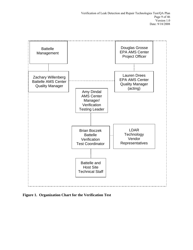<span id="page-8-0"></span>

**Figure 1. Organization Chart for the Verification Test**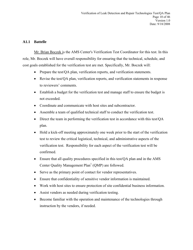# **A1.1 Battelle**

Mr. Brian Boczek is the AMS Center's Verification Test Coordinator for this test. In this role, Mr. Boczek will have overall responsibility for ensuring that the technical, schedule, and cost goals established for the verification test are met. Specifically, Mr. Boczek will:

- Prepare the test/QA plan, verification reports, and verification statements.
- Revise the test/QA plan, verification reports, and verification statements in response to reviewers' comments.
- Establish a budget for the verification test and manage staff to ensure the budget is not exceeded.
- Coordinate and communicate with host sites and subcontractor.
- Assemble a team of qualified technical staff to conduct the verification test.
- Direct the team in performing the verification test in accordance with this test/QA plan.
- Hold a kick-off meeting approximately one week prior to the start of the verification test to review the critical logistical, technical, and administrative aspects of the verification test. Responsibility for each aspect of the verification test will be confirmed.
- Ensure that all quality procedures specified in this test/QA plan and in the AMS Center Quality Management  $Plan<sup>1</sup>$  (QMP) are followed.
- Serve as the primary point of contact for vendor representatives.
- Ensure that confidentiality of sensitive vendor information is maintained.
- Work with host sites to ensure protection of site confidential business information.
- Assist vendors as needed during verification testing.
- Become familiar with the operation and maintenance of the technologies through instruction by the vendors, if needed.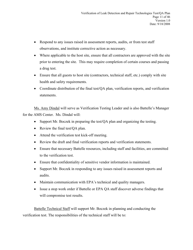- Respond to any issues raised in assessment reports, audits, or from test staff observations, and institute corrective action as necessary.
- Where applicable to the host site, ensure that all contractors are approved with the site prior to entering the site. This may require completion of certain courses and passing a drug test.
- Ensure that all guests to host site (contractors, technical staff, etc.) comply with site health and safety requirements.
- Coordinate distribution of the final test/QA plan, verification reports, and verification statements.

Ms. Amy Dindal will serve as Verification Testing Leader and is also Battelle's Manager for the AMS Center. Ms. Dindal will:

- Support Mr. Boczek in preparing the test/QA plan and organizing the testing.
- Review the final test/QA plan.
- Attend the verification test kick-off meeting.
- Review the draft and final verification reports and verification statements.
- Ensure that necessary Battelle resources, including staff and facilities, are committed to the verification test.
- Ensure that confidentiality of sensitive vendor information is maintained.
- Support Mr. Boczek in responding to any issues raised in assessment reports and audits.
- Maintain communication with EPA's technical and quality managers.
- Issue a stop work order if Battelle or EPA QA staff discover adverse findings that will compromise test results.

Battelle Technical Staff will support Mr. Boczek in planning and conducting the verification test. The responsibilities of the technical staff will be to: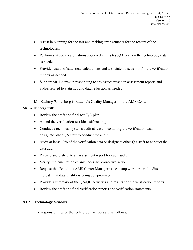- Assist in planning for the test and making arrangements for the receipt of the technologies.
- Perform statistical calculations specified in this test/QA plan on the technology data as needed.
- Provide results of statistical calculations and associated discussion for the verification reports as needed.
- Support Mr. Boczek in responding to any issues raised in assessment reports and audits related to statistics and data reduction as needed.

Mr. Zachary Willenberg is Battelle's Quality Manager for the AMS Center.

Mr. Willenberg will:

- Review the draft and final test/QA plan.
- Attend the verification test kick-off meeting.
- Conduct a technical systems audit at least once during the verification test, or designate other QA staff to conduct the audit.
- Audit at least 10% of the verification data or designate other QA staff to conduct the data audit.
- Prepare and distribute an assessment report for each audit.
- Verify implementation of any necessary corrective action.
- Request that Battelle's AMS Center Manager issue a stop work order if audits indicate that data quality is being compromised.
- Provide a summary of the QA/QC activities and results for the verification reports.
- Review the draft and final verification reports and verification statements.

# **A1.2 Technology Vendors**

The responsibilities of the technology vendors are as follows: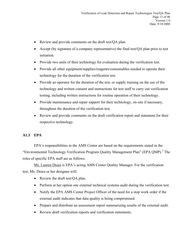- Review and provide comments on the draft test/QA plan.
- Accept (by signature of a company representative) the final test/QA plan prior to test initiation.
- Provide two units of their technology for evaluation during the verification test.
- Provide all other equipment/supplies/reagents/consumables needed to operate their technology for the duration of the verification test.
- Provide an operator for the duration of the test, or supply training on the use of the technology and written consent and instructions for test staff to carry out verification testing, including written instructions for routine operation of their technology.
- Provide maintenance and repair support for their technology, on-site if necessary, throughout the duration of the verification test.
- Review and provide comments on the draft verification report and statement for their respective technology.

# **A1.3 EPA**

EPA's responsibilities in the AMS Center are based on the requirements stated in the "Environmental Technology Verification Program Quality Management Plan" (EPA QMP).<sup>2</sup> The roles of specific EPA staff are as follows:

Ms. Lauren Drees is EPA's acting AMS Center Quality Manager. For the verification test, Ms. Drees or her designee will:

- Review the draft test/QA plan.
- Perform at her option one external technical systems audit during the verification test.
- Notify the EPA AMS Center Project Officer of the need for a stop work order if the external audit indicates that data quality is being compromised.
- Prepare and distribute an assessment report summarizing results of the external audit.
- Review draft verification reports and verification statements.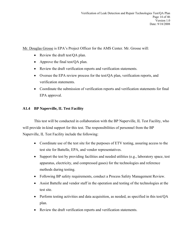Mr. Douglas Grosse is EPA's Project Officer for the AMS Center. Mr. Grosse will:

- Review the draft test/QA plan.
- Approve the final test/QA plan.
- Review the draft verification reports and verification statements.
- Oversee the EPA review process for the test/QA plan, verification reports, and verification statements.
- Coordinate the submission of verification reports and verification statements for final EPA approval.

# **A1.4 BP Naperville, IL Test Facility**

This test will be conducted in collaboration with the BP Naperville, IL Test Facility, who will provide in-kind support for this test. The responsibilities of personnel from the BP Naperville, IL Test Facility include the following:

- Coordinate use of the test site for the purposes of ETV testing, assuring access to the test site for Battelle, EPA, and vendor representatives.
- Support the test by providing facilities and needed utilities (e.g., laboratory space, test apparatus, electricity, and compressed gases) for the technologies and reference methods during testing.
- Following BP safety requirements, conduct a Process Safety Management Review.
- Assist Battelle and vendor staff in the operation and testing of the technologies at the test site.
- Perform testing activities and data acquisition, as needed, as specified in this test/OA plan.
- Review the draft verification reports and verification statements.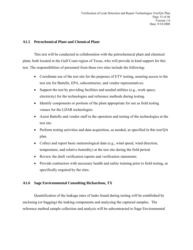# **A1.5 Petrochemical Plant and Chemical Plant**

This test will be conducted in collaboration with the petrochemical plant and chemical plant, both located in the Gulf Coast region of Texas, who will provide in kind support for this test. The responsibilities of personnel from these two sites include the following:

- Coordinate use of the test site for the purposes of ETV testing, assuring access to the test site for Battelle, EPA, subcontractor, and vendor representatives.
- Support the test by providing facilities and needed utilities (e.g., work space, electricity) for the technologies and reference methods during testing.
- Identify components or portions of the plant appropriate for use as field testing venues for the LDAR technologies.
- Assist Battelle and vendor staff in the operation and testing of the technologies at the test site.
- Perform testing activities and data acquisition, as needed, as specified in this test/QA plan.
- Collect and report basic meteorological data (e.g., wind speed, wind direction, temperature, and relative humidity) at the test site during the field period.
- Review the draft verification reports and verification statements.
- Provide contractors with necessary health and safety training prior to field testing, as specifically required by the sites.

## **A1.6 Sage Environmental Consulting Richardson, TX**

Quantification of the leakage rates of leaks found during testing will be established by enclosing (or bagging) the leaking components and analyzing the captured samples. The reference method sample collection and analysis will be subcontracted to Sage Environmental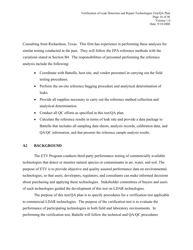<span id="page-15-0"></span>Consulting from Richardson, Texas. This firm has experience in performing these analyses for similar testing conducted in the past. They will follow the EPA reference methods with the variations stated in Section B4. The responsibilities of personnel performing the reference analysis include the following:

- Coordinate with Battelle, host site, and vendor personnel in carrying out the field testing procedures.
- Perform the on-site reference bagging procedure and analytical determination of leaks.
- Provide all supplies necessary to carry out the reference method collection and analytical determination.
- Conduct all QC efforts as specified in this test/QA plan.
- Calculate the reference results in terms of leak rate and provide a data package to Battelle that includes all sampling data sheets, analysis records, calibration data, and QA/QC information, and that presents the reference sample analysis results.

# **A2 BACKGROUND**

 The ETV Program conducts third-party performance testing of commercially available technologies that detect or monitor natural species or contaminants in air, water, and soil. The purpose of ETV is to provide objective and quality assured performance data on environmental technologies, so that users, developers, regulators, and consultants can make informed decisions about purchasing and applying these technologies. Stakeholder committees of buyers and users of such technologies guided the development of this test on LDAR technologies.

 The purpose of this test/QA plan is to specify procedures for a verification test applicable to commercial LDAR technologies. The purpose of the verification test is to evaluate the performance of participating technologies in both field and laboratory environments. In performing the verification test, Battelle will follow the technical and QA/QC procedures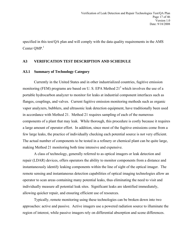<span id="page-16-0"></span>specified in this test/QA plan and will comply with the data quality requirements in the AMS Center OMP.<sup>1</sup>

# **A3 VERIFICATION TEST DESCRIPTION AND SCHEDULE**

# **A3.1 Summary of Technology Category**

Currently in the United States and in other industrialized countries, fugitive emission monitoring (FEM) programs are based on U.S. EPA Method  $21<sup>3</sup>$  which involves the use of a portable hydrocarbon analyzer to monitor for leaks at industrial component interfaces such as flanges, couplings, and valves. Current fugitive emission monitoring methods such as organic vapor analyzers, bubblers, and ultrasonic leak detection equipment, have traditionally been used in accordance with Method 21. Method 21 requires sampling of each of the numerous components of a plant that may leak. While thorough, this procedure is costly because it requires a large amount of operator effort. In addition, since most of the fugitive emissions come from a few large leaks, the practice of individually checking each potential source is not very efficient. The actual number of components to be tested in a refinery or chemical plant can be quite large, making Method 21 monitoring both time intensive and expensive.

A class of technology, generally referred to as optical imagers or leak detection and repair (LDAR) devices, offers operators the ability to monitor components from a distance and instantaneously identify leaking components within the line of sight of the optical imager. The remote sensing and instantaneous detection capabilities of optical imaging technologies allow an operator to scan areas containing many potential leaks, thus eliminating the need to visit and individually measure all potential leak sites. Significant leaks are identified immediately, allowing quicker repair, and ensuring efficient use of resources.

Typically, remote monitoring using these technologies can be broken down into two approaches: active and passive. Active imagers use a powered radiation source to illuminate the region of interest, while passive imagers rely on differential absorption and scene differences.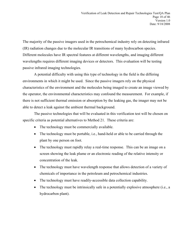The majority of the passive imagers used in the petrochemical industry rely on detecting infrared (IR) radiation changes due to the molecular IR transitions of many hydrocarbon species. Different molecules have IR spectral features at different wavelengths, and imaging different wavelengths requires different imaging devices or detectors. This evaluation will be testing passive infrared imaging technologies.

A potential difficulty with using this type of technology in the field is the differing environments in which it might be used. Since the passive imagers rely on the physical characteristics of the environment and the molecules being imaged to create an image viewed by the operator, the environmental characteristics may confound the measurement. For example, if there is not sufficient thermal emission or absorption by the leaking gas, the imager may not be able to detect a leak against the ambient thermal background.

The passive technologies that will be evaluated in this verification test will be chosen on specific criteria as potential alternatives to Method 21. These criteria are:

- The technology must be commercially available.
- The technology must be portable, i.e., hand-held or able to be carried through the plant by one person on foot.
- The technology must rapidly relay a real-time response. This can be an image on a screen showing the leak plume or an electronic reading of the relative intensity or concentration of the leak.
- The technology must have wavelength response that allows detection of a variety of chemicals of importance in the petroleum and petrochemical industries.
- The technology must have readily-accessible data collection capability.
- The technology must be intrinsically safe in a potentially explosive atmosphere (i.e., a hydrocarbon plant).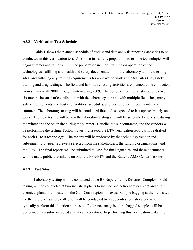#### **A3.2 Verification Test Schedule**

Table 1 shows the planned schedule of testing and data analysis/reporting activities to be conducted in this verification test. As shown in Table 1, preparation to test the technologies will begin summer and fall of 2008. The preparation includes training on operation of the technologies, fulfilling any health and safety documentation for the laboratory and field testing sites, and fulfilling any training requirements for approval to work at the test sites (i.e., safety training and drug testing). The field and laboratory testing activities are planned to be conducted from summer/fall 2008 through winter/spring 2009. The period of testing is estimated to cover six months because of coordination with the laboratory site and with multiple field sites, many safety requirements, the host site facilities' schedules, and desire to test in both winter and summer. The laboratory testing will be conducted first and is expected to last approximately one week. The field testing will follow the laboratory testing and will be scheduled at one site during the winter and the other site during the summer. Battelle, the subcontractor, and the vendors will be performing the testing. Following testing, a separate ETV verification report will be drafted for each LDAR technology. The reports will be reviewed by the technology vendor and subsequently by peer reviewers selected from the stakeholders, the funding organizations, and the EPA. The final reports will be submitted to EPA for final signature, and these documents will be made publicly available on both the EPA/ETV and the Battelle AMS Center websites.

#### **A3.3 Test Sites**

Laboratory testing will be conducted at the BP Naperville, IL Research Complex. Field testing will be conducted at two industrial plants to include one petrochemical plant and one chemical plant, both located in the Gulf Coast region of Texas. Sample bagging at the field sites for the reference sample collection will be conducted by a subcontracted laboratory who typically perform this function at the site. Reference analysis of the bagged samples will be performed by a sub-contracted analytical laboratory. In performing this verification test at the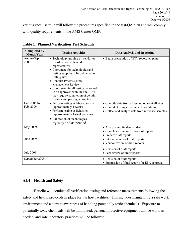<span id="page-19-0"></span>various sites, Battelle will follow the procedures specified in the test/QA plan and will comply with quality requirements in the AMS Center QMP.<sup>1</sup>

| <b>Completed by</b><br><b>Month/Year</b> | <b>Testing Activities</b>                                                                                                                                                                                                                                                                                                                                                               | <b>Data Analysis and Reporting</b>                                                                                                                 |
|------------------------------------------|-----------------------------------------------------------------------------------------------------------------------------------------------------------------------------------------------------------------------------------------------------------------------------------------------------------------------------------------------------------------------------------------|----------------------------------------------------------------------------------------------------------------------------------------------------|
| August/Sept.<br>2008                     | • Technology training by vendor or<br>coordination with vendor<br>representative<br>• Coordinate for technologies and<br>testing supplies to be delivered to<br>testing sites<br>• Conduct Process Safety<br>Management Review<br>• Coordinate for all testing personnel<br>to be approved with the site. This<br>may require completion of certain<br>courses and passing a drug test. | • Begin preparation of ETV report template                                                                                                         |
| Oct. 2008 to<br>Feb. 2009                | • Perform testing at laboratory site<br>(approximately 1 week)<br>• Perform testing at field sites<br>(approximately 1 week per site)<br>• Calibration of technologies<br>regularly and as needed                                                                                                                                                                                       | • Compile data from all technologies at all sites<br>• Compile testing environment conditions<br>• Collect and analyze data from reference samples |
| May 2009                                 |                                                                                                                                                                                                                                                                                                                                                                                         | • Analyze and finalize all data<br>• Complete common sections of reports<br>• Prepare draft reports                                                |
| June 2009                                |                                                                                                                                                                                                                                                                                                                                                                                         | • Internal review of draft reports<br>• Vendor review of draft reports                                                                             |
| <b>July 2009</b>                         |                                                                                                                                                                                                                                                                                                                                                                                         | • Revision of draft reports<br>• Peer review of draft reports                                                                                      |
| September 2009                           |                                                                                                                                                                                                                                                                                                                                                                                         | • Revision of draft reports<br>• Submission of final reports for EPA approval                                                                      |

**Table 1. Planned Verification Test Schedule** 

# **A3.4 Health and Safety**

Battelle will conduct all verification testing and reference measurements following the safety and health protocols in place for the host facilities. This includes maintaining a safe work environment and a current awareness of handling potentially toxic chemicals. Exposure to potentially toxic chemicals will be minimized, personal protective equipment will be worn as needed, and safe laboratory practices will be followed.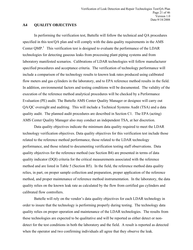#### <span id="page-20-0"></span>**A4 QUALITY OBJECTIVES**

In performing the verification test, Battelle will follow the technical and QA procedures specified in this test/QA plan and will comply with the data quality requirements in the AMS Center  $QMP<sup>1</sup>$ . This verification test is designed to evaluate the performance of the LDAR technologies for detecting gaseous leaks from processing plant piping systems and from laboratory manifested scenarios. Calibrations of LDAR technologies will follow manufacturer specified procedures and acceptance criteria. The verification of technology performance will include a comparison of the technology results to known leak rates produced using calibrated flow meters and gas cylinders in the laboratory, and to EPA reference method results in the field. In addition, environmental factors and testing conditions will be documented. The validity of the execution of the reference method analytical procedures will be checked by a Performance Evaluation (PE) audit. The Battelle AMS Center Quality Manager or designee will carry out QA/QC oversight and auditing. This will include a Technical Systems Audit (TSA) and a data quality audit. The planned audit procedures are described in Section C1. The EPA (acting) AMS Center Quality Manager also may conduct an independent TSA, at her discretion.

Data quality objectives indicate the minimum data quality required to meet the LDAR technology verification objectives. Data quality objectives for this verification test include those related to the reference method performance, those related to the LDAR technology performance, and those related to documenting verification testing staff observations. Data quality objectives for the reference method (see Section B4) are presented in terms of data quality indicator (DQI) criteria for the critical measurements associated with the reference method and are listed in Table 5 (Section B5). In the field, the reference method data quality relies, in part, on proper sample collection and preparation, proper application of the reference method, and proper maintenance of reference method instrumentation. In the laboratory, the data quality relies on the known leak rate as calculated by the flow from certified gas cylinders and calibrated flow controllers.

Battelle will rely on the vendor's data quality objectives for each LDAR technology in order to insure that the technology is performing properly during testing. The technology data quality relies on proper operation and maintenance of the LDAR technologies. The results from these technologies are expected to be qualitative and will be reported as either detect or nondetect for the test conditions in both the laboratory and the field. A result is reported as detected when the operator and two confirming individuals all agree that they observe the leak.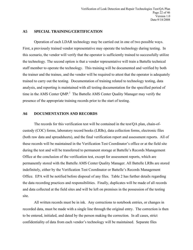# <span id="page-21-0"></span>**A5 SPECIAL TRAINING/CERTIFICATION**

Operation of each LDAR technology may be carried out in one of two possible ways. First, a previously trained vendor representative may operate the technology during testing. In this scenario, the vendor will verify that the operator is sufficiently trained to successfully utilize the technology. The second option is that a vendor representative will train a Battelle technical staff member to operate the technology. This training will be documented and verified by both the trainer and the trainee, and the vendor will be required to attest that the operator is adequately trained to carry out the testing. Documentation of training related to technology testing, data analysis, and reporting is maintained with all testing documentation for the specified period of time in the AMS Center  $QMP<sup>1</sup>$ . The Battelle AMS Center Quality Manager may verify the presence of the appropriate training records prior to the start of testing.

#### **A6 DOCUMENTATION AND RECORDS**

The records for this verification test will be contained in the test/QA plan, chain-ofcustody (COC) forms, laboratory record books (LRBs), data collection forms, electronic files (both raw data and spreadsheets), and the final verification report and assessment reports. All of these records will be maintained in the Verification Test Coordinator's office or at the field site during the test and will be transferred to permanent storage at Battelle's Records Management Office at the conclusion of the verification test, except for assessment reports, which are permanently stored with the Battelle AMS Center Quality Manager. All Battelle LRBs are stored indefinitely, either by the Verification Test Coordinator or Battelle's Records Management Office. EPA will be notified before disposal of any files. Table 2 has further details regarding the data recording practices and responsibilities. Finally, duplicates will be made of all records and data collected at the field sites and will be left on premises in the possession of the testing site.

All written records must be in ink. Any corrections to notebook entries, or changes in recorded data, must be made with a single line through the original entry. The correction is then to be entered, initialed, and dated by the person making the correction. In all cases, strict confidentiality of data from each vendor's technology will be maintained. Separate files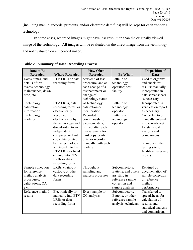<span id="page-22-0"></span>(including manual records, printouts, and/or electronic data files) will be kept for each vendor's technology.

In some cases, recorded images might have less resolution than the originally viewed image of the technology. All images will be evaluated on the direct image from the technology and not evaluated on a recorded image.

| Data to Be<br><b>Recorded</b>           | <b>Where Recorded</b>   | <b>How Often</b><br><b>Recorded</b> | <b>By Whom</b>       | <b>Disposition of</b><br><b>Data</b> |
|-----------------------------------------|-------------------------|-------------------------------------|----------------------|--------------------------------------|
| Dates, times, and                       | <b>ETV LRBs</b> or data | Start/end of test                   | Battelle or          | Used to organize                     |
| details of test                         | recording forms         | procedure, and at                   | technology           | and check test                       |
|                                         |                         | each change of a                    | operator; host       |                                      |
| events, technology<br>maintenance, down |                         | test parameter or                   | facility             | results; manually<br>incorporated in |
| time, etc.                              |                         | change of                           |                      | data spreadsheets                    |
|                                         |                         | technology status                   |                      |                                      |
|                                         | ETV LRBs, data          | At technology                       | Battelle or          | as necessary                         |
| Technology<br>calibration               |                         | calibration or                      |                      | Incorporated in                      |
|                                         | recording forms, or     |                                     | technology           | verification report                  |
| information                             | electronically          | recalibration                       | operator             | as necessary                         |
| Technology                              | Recorded                | Recorded                            | Battelle or          | Converted to or                      |
| readings                                | electronically by       | continuously for                    | technology           | manually entered                     |
|                                         | the technology and      | electronic data,                    | operator             | into spreadsheet                     |
|                                         | downloaded to an        | printed after each                  |                      | for statistical                      |
|                                         | independent             | measurement for                     |                      | analysis and                         |
|                                         | computer, or hard       | hard copy print-                    |                      | comparisons                          |
|                                         | copy data printed       | outs, or recorded                   |                      |                                      |
|                                         | by the technology       | manually with each                  |                      | Shared with the                      |
|                                         | and taped into the      | reading                             |                      | testing site to                      |
|                                         | ETV LRB, or hand        |                                     |                      | facilitate necessary                 |
|                                         | entered into ETV        |                                     |                      | repairs                              |
|                                         | LRBs or data            |                                     |                      |                                      |
|                                         | recording forms         |                                     |                      |                                      |
| Sample collection                       | LRBs, chain-of-         | Throughout                          | Subcontractors,      | Retained as                          |
| for reference                           | custody, or other       | sampling and                        | Battelle, and others | documentation of                     |
| method analysis                         | data recording          | analysis processes                  | assisting in         | sample collection                    |
| procedures,                             | forms                   |                                     | reference sample     | or reference                         |
| calibrations, QA,                       |                         |                                     | collection and       | method                               |
| etc.                                    |                         |                                     | sample analysis      | performance                          |
| Reference method                        | Electronically or       | Every sample or                     | Subcontractors,      | <b>Transferred</b> to                |
| results                                 | manually into ETV       | QC analysis                         | Battelle, or other   | spreadsheets for                     |
|                                         | LRBs or data            |                                     | reference sample     | calculation of                       |
|                                         | recording forms         |                                     | analysis technician  | results, and                         |
|                                         |                         |                                     |                      | statistical analysis                 |
|                                         |                         |                                     |                      | and comparisons                      |

**Table 2. Summary of Data Recording Process**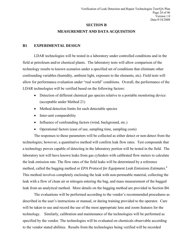#### **SECTION B**

# **MEASUREMENT AND DATA ACQUISITION**

#### <span id="page-23-0"></span>**B1 EXPERIMENTAL DESIGN**

LDAR technologies will be tested in a laboratory under controlled conditions and in the field at petroleum and/or chemical plants. The laboratory tests will allow comparison of the technology results to known scenarios under a specified set of conditions that eliminate other confounding variables (humidity, ambient light, exposure to the elements, etc). Field tests will allow for performance evaluation under "real world" conditions. Overall, the performance of the LDAR technologies will be verified based on the following factors:

- Detection of different chemical gas species relative to a portable monitoring device (acceptable under Method 21)
- Method detection limits for each detectable species
- Inter-unit comparability
- Influence of confounding factors (wind, background, etc.)
- Operational factors (ease of use, sampling time, sampling costs)

The responses to these parameters will be collected as either detect or non-detect from the technologies; however, a quantitative method will confirm leak flow rates. Test compounds that a technology proves capable of detecting in the laboratory portion will be tested in the field. The laboratory test will have known leaks from gas cylinders with calibrated flow meters to calculate the leak emission rate. The flow rates of the field leaks will be determined by a reference method, called the bagging method or *EPA Protocol for Equipment Leak Emissions Estimates*. 4 This method involves completely enclosing the leak with non-permeable material, collecting the leak with a flow of clean air or nitrogen entering the bag, and mass measurement of the bagged leak from an analytical method. More details on the bagging method are provided in Section B4.

The evaluations will be performed according to the vendor's recommended procedures as described in the user's instructions or manual, or during training provided to the operator. Care will be taken to use and record the use of the most appropriate lens and zoom features for the technology. Similarly, calibration and maintenance of the technologies will be performed as specified by the vendor. The technologies will be evaluated on chemicals observable according to the vendor stated abilities. Results from the technologies being verified will be recorded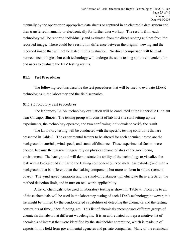manually by the operator on appropriate data sheets or captured in an electronic data system and then transferred manually or electronically for further data workup. The results from each technology will be reported individually and evaluated from the direct reading and not from the recorded image. There could be a resolution difference between the original viewing and the recorded image that will not be tested in this evaluation. No direct comparison will be made between technologies, but each technology will undergo the same testing so it is convenient for end users to evaluate the ETV testing results.

## **B1.1 Test Procedures**

The following sections describe the test procedures that will be used to evaluate LDAR technologies in the laboratory and the field scenarios.

# *B1.1.1 Laboratory Test Procedures*

The laboratory LDAR technology evaluation will be conducted at the Naperville BP plant near Chicago, Illinois. The testing group will consist of lab host site staff setting up the experiments, the technology operator, and two confirming individuals to verify the result.

The laboratory testing will be conducted with the specific testing conditions that are presented in Table 3. The experimental factors to be altered for each chemical tested are the background materials, wind speed, and stand-off distance. These experimental factors were chosen, because the passive imagers rely on physical characteristics of the monitoring environment. The background will demonstrate the ability of the technology to visualize the leak with a background similar to the leaking component (curved metal gas cylinder) and with a background that is different than the leaking component, but more uniform in nature (cement board). The wind speed variations and the stand-off distances will elucidate these effects on the method detection limit, and in turn on real-world applicability.

A list of chemicals to be used in laboratory testing is shown in Table 4. From one to all of these chemicals will be used in the laboratory testing of each LDAR technology; however, this list might be limited by the vendor-stated capabilities of detecting the chemicals and the testing constraints of time, labor, funding, etc. This list of chemicals encompasses different groups of chemicals that absorb at different wavelengths. It is an abbreviated but representative list of chemicals of interest that were identified by the stakeholder committee, which is made up of experts in this field from governmental agencies and private companies. Many of the chemicals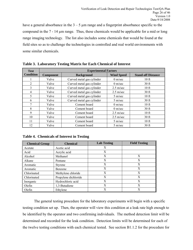<span id="page-25-0"></span>have a general absorbance in the  $3 - 5 \mu m$  range and a fingerprint absorbance specific to the compound in the 7 - 14 µm range. Thus, these chemicals would be applicable for a mid or long range imaging technology. The list also includes some chemicals that would be found at the field sites so as to challenge the technologies in controlled and real world environments with some similar chemicals.

| <b>Test</b>      | <b>Experimental Factors</b> |                           |                     |                           |  |
|------------------|-----------------------------|---------------------------|---------------------|---------------------------|--|
| <b>Condition</b> | <b>Component</b>            | <b>Background</b>         | <b>Wind Speed</b>   | <b>Stand-off Distance</b> |  |
|                  | Valve                       | Curved metal gas cylinder | $0 \text{ m/sec}$   | $10$ ft                   |  |
| $\overline{2}$   | Valve                       | Curved metal gas cylinder | $0 \text{ m/sec}$   | 30 <sub>ft</sub>          |  |
| 3                | Valve                       | Curved metal gas cylinder | $2.5 \text{ m/sec}$ | 10 <sub>ft</sub>          |  |
| $\overline{4}$   | Valve                       | Curved metal gas cylinder | $2.5 \text{ m/sec}$ | 30 <sub>ft</sub>          |  |
| 5                | Valve                       | Curved metal gas cylinder | $5 \text{ m/sec}$   | 10 <sub>f</sub>           |  |
| 6                | Valve                       | Curved metal gas cylinder | $5 \text{ m/sec}$   | $30$ ft                   |  |
| 7                | Valve                       | Cement board              | $0 \text{ m/sec}$   | $10$ ft                   |  |
| 8                | Valve                       | Cement board              | $0 \text{ m/sec}$   | 30 <sub>ft</sub>          |  |
| 9                | Valve                       | Cement board              | $2.5 \text{ m/sec}$ | 10 <sub>ft</sub>          |  |
| 10               | Valve                       | Cement board              | $2.5 \text{ m/sec}$ | 30 <sub>ft</sub>          |  |
| 11               | Valve                       | Cement board              | $5 \text{ m/sec}$   | $10$ ft                   |  |
| 12               | Valve                       | Cement board              | $5 \text{ m/sec}$   | 30 <sub>ft</sub>          |  |

**Table 3. Laboratory Testing Matrix for Each Chemical of Interest** 

**Table 4. Chemicals of Interest in Testing** 

| <b>Chemical Group</b> | <b>Chemical</b>      | <b>Lab Testing</b> | <b>Field Testing</b> |
|-----------------------|----------------------|--------------------|----------------------|
| Acetate               | Acetic acid          | X                  |                      |
| Acid                  | Acrylic acid         | X                  |                      |
| Alcohol               | Methanol             | X                  | X                    |
| Alkane                | Pentane              | X                  | X                    |
| Aromatic              | <b>Styrene</b>       | X                  | X                    |
| Aromatic              | <b>Benzene</b>       | X                  | X                    |
| Chlorinated           | Methylene chloride   | X                  | X                    |
| Chlorinated           | Propylene dichloride | X                  | X                    |
| Inorganic             | Hydrochloric acid    | X                  | X                    |
| Olefin                | 1,3-Butadiene        | X                  | X                    |
| Olefin                | Ethylene             | X                  | X                    |

The general testing procedure for the laboratory experiments will begin with a specific testing condition set up. Then, the operator will view this condition at a leak rate high enough to be identified by the operator and two confirming individuals. The method detection limit will be determined and recorded for the leak condition. Detection limits will be determined for each of the twelve testing conditions with each chemical tested. See section B1.1.2 for the procedure for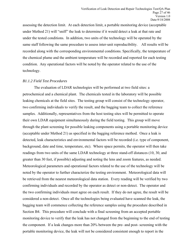assessing the detection limit. At each detection limit, a portable monitoring device (acceptable under Method 21) will "sniff" the leak to determine if it would detect a leak at that rate and under the tested conditions. In addition, two units of the technology will be operated by the same staff following the same procedure to assess inter-unit reproducibility. All results will be recorded along with the corresponding environmental conditions. Specifically, the temperature of the chemical plume and the ambient temperature will be recorded and reported for each testing condition. Any operational factors will be noted by the operator related to the use of the technology.

#### *B1.1.2 Field Test Procedures*

The evaluation of LDAR technologies will be performed at two field sites: a petrochemical and a chemical plant. The chemicals tested in the laboratory will be possible leaking chemicals at the field sites. The testing group will consist of the technology operator, two confirming individuals to verify the result, and the bagging team to collect the reference samples. Additionally, representatives from the host testing sites will be permitted to operate their own LDAR equipment simultaneously during the field testing. This group will move through the plant screening for possible leaking components using a portable monitoring device (acceptable under Method 21) as specified in the bagging reference method. Once a leak is detected, leak characteristics and environmental factors will be recorded (i.e. type of component, background, date and time, temperature, etc). Where space permits, the operator will then take readings from two units of the same LDAR technology at three stand-off distances (10, 30, and greater than 30 feet, if possible) adjusting and noting the lens and zoom features, as needed. Meteorological parameters and operational factors related to the use of the technology will be noted by the operator to further characterize the testing environment. Meteorological data will be retrieved from the nearest meteorological data station. Every reading will be verified by two confirming individuals and recorded by the operator as detect or non-detect. The operator and the two confirming individuals must agree on each result. If they do not agree, the result will be considered a non-detect. Once all the technologies being evaluated have scanned the leak, the bagging team will commence collecting the reference samples using the procedure described in Section B4. This procedure will conclude with a final screening from an accepted portable monitoring device to verify that the leak has not changed from the beginning to the end of testing the component. If a leak changes more than 20% between the pre- and post- screening with the portable monitoring device, the leak will not be considered consistent enough to report in the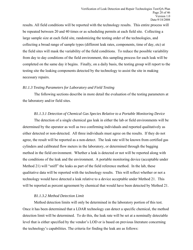results. All field conditions will be reported with the technology results. This entire process will be repeated between 20 and 40 times or as scheduling permits at each field site. Collecting a large sample size at each field site, randomizing the testing order of the technologies, and collecting a broad range of sample types (different leak rates, components, time of day, etc) at the field sites will mask the variability of the field conditions. To reduce the possible variability from day to day conditions of the field environment, this sampling process for each leak will be completed on the same day it begins. Finally, on a daily basis, the testing group will report to the testing site the leaking components detected by the technology to assist the site in making necessary repairs.

## *B1.1.3 Testing Parameters for Laboratory and Field Testing*

The following sections describe in more detail the evaluation of the testing parameters at the laboratory and/or field sites.

#### *B1.1.3.1 Detection of Chemical Gas Species Relative to a Portable Monitoring Device*

The detection of a single chemical gas leak in either the lab or field environments will be determined by the operator as well as two confirming individuals and reported qualitatively as either detected or non-detected. All three individuals must agree on the results. If they do not agree, the result will be reported as a non-detect. The leak rate will be known from certified gas cylinders and calibrated flow meters in the laboratory, or determined through the bagging method in the field environment. Whether a leak is detected or not will be reported along with the conditions of the leak and the environment. A portable monitoring device (acceptable under Method 21) will "sniff" the leaks as part of the field reference method. In the lab, these qualitative data will be reported with the technology results. This will reflect whether or not a technology would have detected a leak relative to a device acceptable under Method 21. This will be reported as percent agreement by chemical that would have been detected by Method 21.

## *B1.1.3.2 Method Detection Limit*

Method detection limits will only be determined in the laboratory portion of this test. Once it has been determined that a LDAR technology can detect a specific chemical, the method detection limit will be determined. To do this, the leak rate will be set at a nominally detectable level that is either specified by the vendor's LOD or is based on previous literature concerning the technology's capabilities. The criteria for finding the leak are as follows: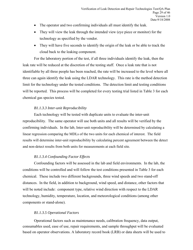- The operator and two confirming individuals all must identify the leak.
- They will view the leak through the intended view (eye piece or monitor) for the technology as specified by the vendor.
- They will have five seconds to identify the origin of the leak or be able to track the cloud back to the leaking component.

For the laboratory portion of the test, if all three individuals identify the leak, then the leak rate will be reduced at the discretion of the testing staff. Once a leak rate that is not identifiable by all three people has been reached, the rate will be increased to the level where all three can again identify the leak using the LDAR technology. This rate is the method detection limit for the technology under the tested conditions. The detection limit and testing conditions will be reported. This process will be completed for every testing trial listed in Table 3 for each chemical gas species tested.

# *B1.1.3.3 Inter-unit Reproducibility*

Each technology will be tested with duplicate units to evaluate the inter-unit reproducibility. The same operator will use both units and all results will be verified by the confirming individuals. In the lab, Inter-unit reproducibility will be determined by calculating a linear regression comparing the MDLs of the two units for each chemical of interest. The field results will determine inter-unit reproducibility by calculating percent agreement between the detect and non-detect results from both units for measurements at each field site.

# *B1.1.3.4 Confounding Factor Effects*

Confounding factors will be assessed in the lab and field environments. In the lab, the conditions will be controlled and will follow the test conditions presented in Table 3 for each chemical. These include two different backgrounds, three wind speeds and two stand-off distances. In the field, in addition to background, wind speed, and distance, other factors that will be noted include: component type, relative wind direction with respect to the LDAR technology, humidity, temperature, location, and meteorological conditions (among other components or stand-alone).

# *B1.1.3.5 Operational Factors*

 Operational factors such as maintenance needs, calibration frequency, data output, consumables used, ease of use, repair requirements, and sample throughput will be evaluated based on operator observations. A laboratory record book (LRB) or data sheets will be used to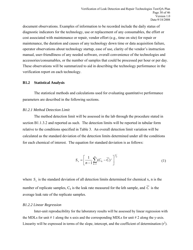document observations. Examples of information to be recorded include the daily status of diagnostic indicators for the technology, use or replacement of any consumables, the effort or cost associated with maintenance or repair, vendor effort (e.g., time on site) for repair or maintenance, the duration and causes of any technology down time or data acquisition failure, operator observations about technology startup, ease of use, clarity of the vendor's instruction manual, user-friendliness of any needed software, overall convenience of the technologies and accessories/consumables, or the number of samples that could be processed per hour or per day. These observations will be summarized to aid in describing the technology performance in the verification report on each technology.

#### **B1.2 Statistical Analysis**

The statistical methods and calculations used for evaluating quantitative performance parameters are described in the following sections.

# *B1.2.1 Method Detection Limit*

The method detection limit will be assessed in the lab through the procedure stated in section B1.1.3.2 and reported as such. The detection limits will be reported in tabular form relative to the conditions specified in Table 3. An overall detection limit variation will be calculated as the standard deviation of the detection limits determined under all the conditions for each chemical of interest. The equation for standard deviation is as follows:

$$
S_x = \left[\frac{1}{n-1} \sum_{k=1}^n (C_k - \overline{C})^2\right]^{1/2} \tag{1}
$$

where  $S_x$  is the standard deviation of all detection limits determined for chemical x, n is the number of replicate samples,  $C_k$  is the leak rate measured for the kth sample, and  $C$  is the average leak rate of the replicate samples.

#### *B1.2.2 Linear Regression*

Inter-unit reproducibility for the laboratory results will be assessed by linear regression with the MDLs for unit  $\#$  1 along the x-axis and the corresponding MDLs for unit  $\#$  2 along the y-axis. Linearity will be expressed in terms of the slope, intercept, and the coefficient of determination  $(r^2)$ .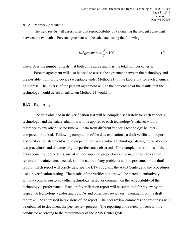#### *B1.2.3 Percent Agreement*

The field results will assess inter-unit reproducibility by calculating the percent agreement between the two units. Percent agreement will be calculated using the following:

$$
\%Agreement = \frac{A}{T} \times 100\tag{2}
$$

where *A* is the number of tests that both units agree and *T* is the total number of tests.

Percent agreement will also be used to assess the agreement between the technology and the portable monitoring device (acceptable under Method 21) in the laboratory for each chemical of interest. The inverse of the percent agreement will be the percentage of the results that the technology would detect a leak when Method 21 would not.

#### **B1.3 Reporting**

The data obtained in the verification test will be compiled separately for each vendor's technology, and the data evaluations will be applied to each technology's data set without reference to any other. At no time will data from different vendor's technology be intercompared or ranked. Following completion of the data evaluations, a draft verification report and verification statement will be prepared for each vendor's technology, stating the verification test procedures and documenting the performance observed. For example, descriptions of the data acquisition procedures, use of vendor supplied proprietary software, consumables used, repairs and maintenance needed, and the nature of any problems will be presented in the draft report. Each report will briefly describe the ETV Program, the AMS Center, and the procedures used in verification testing. The results of the verification test will be stated quantitatively, without comparison to any other technology tested, or comment on the acceptability of the technology's performance. Each draft verification report will be submitted for review by the respective technology vendor and by EPA and other peer reviewers. Comments on the draft report will be addressed in revisions of the report. The peer review comments and responses will be tabulated to document the peer review process. The reporting and review process will be conducted according to the requirements of the AMS Center  $QMP$ <sup>1</sup>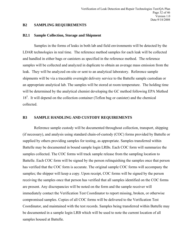#### <span id="page-31-0"></span>**B2 SAMPLING REQUIREMENTS**

#### **B2.1 Sample Collection, Storage and Shipment**

Samples in the forms of leaks in both lab and field environments will be detected by the LDAR technologies in real time. The reference method samples for each leak will be collected and handled in either bags or canisters as specified in the reference method. The reference samples will be collected and analyzed in duplicate to obtain an average mass emission from the leak. They will be analyzed on-site or sent to an analytical laboratory. Reference sample shipments will be via a traceable overnight delivery service to the Battelle sample custodian or an appropriate analytical lab. The samples will be stored at room temperature. The holding time will be determined by the analytical chemist developing the GC method following EPA Method 18<sup>5</sup>. It will depend on the collection container (Teflon bag or canister) and the chemical collected.

#### **B3 SAMPLE HANDLING AND CUSTODY REQUIREMENTS**

Reference sample custody will be documented throughout collection, transport, shipping (if necessary), and analysis using standard chain-of-custody (COC) forms provided by Battelle or supplied by others providing samples for testing, as appropriate. Samples transferred within Battelle may be documented in bound sample login LRBs. Each COC form will summarize the samples collected. The COC forms will track sample release from the sampling location to Battelle. Each COC form will be signed by the person relinquishing the samples once that person has verified that the COC form is accurate. The original sample COC forms will accompany the samples; the shipper will keep a copy. Upon receipt, COC forms will be signed by the person receiving the samples once that person has verified that all samples identified on the COC forms are present. Any discrepancies will be noted on the form and the sample receiver will immediately contact the Verification Test Coordinator to report missing, broken, or otherwise compromised samples. Copies of all COC forms will be delivered to the Verification Test Coordinator, and maintained with the test records. Samples being transferred within Battelle may be documented in a sample login LRB which will be used to note the current location of all samples housed at Battelle.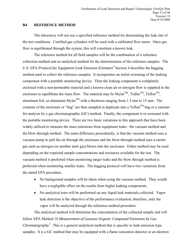# <span id="page-32-0"></span>**B4 REFERENCE METHOD**

The laboratory will not use a specified reference method for determining the leak rate of the test conditions. Certified gas cylinders will be used with a calibrated flow meter. Once gas flow is equilibrated through the system, this will constitute a known leak.

The reference method for all field samples will be the combination of a reference collection method and an analytical method for the determination of the reference samples. The U.S. EPA *Protocol for Equipment Leak Emission Estimates*<sup>4</sup> Section 4 describes the bagging method used to collect the reference samples. It incorporates an initial screening of the leaking component with a portable monitoring device. Then the leaking component is completely enclosed with a non-permeable material and a known clean air or nitrogen flow is supplied to the enclosure to equilibrate the mass flow. The material may be Mylar<sup>TM</sup>, Tedlar<sup>TM</sup>, Teflon<sup>TM</sup>, aluminum foil, or aluminum Mylar<sup>TM</sup> with a thickness ranging from 1.5 mm to 15 mm. The contents of the enclosure or "bag" are then sampled in duplicate into a  $Teflon^{TM}$  bag or a canister for analysis by a gas chromatographic (GC) method. Finally, the component is re-screened with the portable monitoring device. There are two basic variations to this approach that have been widely utilized to measure the mass emissions from equipment leaks: the vacuum method and the blow-through method. The main difference procedurally, is that the vacuum method uses a vacuum pump to pull the air through the enclosure and the blow-through method uses a carrier gas such as nitrogen (or another inert gas) blown into the enclosure. Either method may be used depending on the expected sample concentrations and resources available for the test. The vacuum method is preferred when monitoring larger leaks and the blow through method is preferred when monitoring smaller leaks. The bagging protocol will have two variations from the stated EPA procedure.

- No background samples will be taken when using the vacuum method. They would have a negligible effect on the results from higher leaking components.
- No analytical tests will be performed on any liquid leak materials collected. Vapor leak detection is the objective of the performance evaluation; therefore, only the vapor will be analyzed through the reference method procedure.

The analytical method will determine the concentration of the collected sample and will follow EPA Method 18 *Measurement of Gaseous Organic Compound Emissions by Gas Chromatography.*<sup>5</sup> This is a general analytical method that is specific to leak-emission type samples. It is a GC method that may be equipped with a flame ionization detector or an electron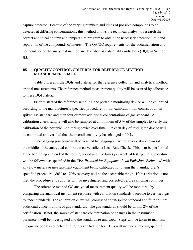<span id="page-33-0"></span>capture detector. Because of the varying numbers and kinds of possible compounds to be detected at differing concentrations, this method allows the technical analyst to research the correct analytical column and temperature program to obtain the necessary detection limit and separation of the compounds of interest. The QA/QC requirements for the documentation and performance of the analytical method are described as data quality indicators (DQI) in Section B5.

# **B5 QUALITY CONTROL CRITERIA FOR REFERENCE METHOD MEASUREMENT DATA**

Table 5 presents the DQIs and criteria for the reference collection and analytical method critical measurements. The reference method measurement quality will be assured by adherence to these DQI criteria.

Prior to start of the reference sampling, the portable monitoring device will be calibrated according to the manufacturer's specified procedure. Initial calibration will consist of an unspiked gas standard and then four or more additional concentrations of gas standard. A calibration check sample will also be sampled at a minimum of 5 % of the samples to verify the calibration of the portable monitoring device over time. On each day of testing the device will be calibrated and verified that the overall sensitivity has changed < 10 %.

 The bagging procedure will be verified by bagging an artificial leak at a known rate in the middle of the analytical calibration curve called a Leak Rate Check. This is to be performed at the beginning and end of the testing period and two times per week of testing. This procedure will be followed as specified in the EPA *Protocol for Equipment Leak Emissions Estimates*<sup>4</sup> with any flow meters or measurement equipment being calibrated following the manufacturer's specified procedure. 80% to 120% recovery will be the acceptable range. If this criterion is not met, the procedure and supplies will be investigated and corrected before sampling continues.

The reference method GC analytical measurement quality will be monitored by comparing the analytical instrument response with calibration standards traceable to certified gas cylinder standards. The calibration curve will consist of an un-spiked standard and four or more additional concentrations of gas standards. The gas standards should be within 2% of the certification. If not, the source of standard contamination or changes in the instrument parameters will be investigated and the standards re-analyzed. Steps will be taken to maintain the quality of data collected during this verification test. This will include analyzing specific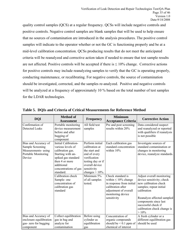quality control samples (QCS) at a regular frequency. QCSs will include negative controls and positive controls. Negative control samples are blank samples that will be used to help ensure that no sources of contamination are introduced in the analysis procedures. The positive control samples will indicate to the operator whether or not the GC is functioning properly and be at a mid-level calibration concentration. QCSs producing results that do not meet the anticipated criteria will be reanalyzed and corrective action taken if needed to ensure that test sample results are not affected. Positive controls will be accepted if there is  $\leq 10\%$  change. Corrective actions for positive controls may include reanalyzing samples to verify that the GC is operating properly, conducting maintenance, or recalibrating. For negative controls, the source of contamination should be investigated, corrected, and the samples re-analyzed. Positive and negative controls will be analyzed at a frequency of approximately 10 % based on the total number of test samples for the LDAR technologies.

| <b>DQI</b>                                                                                      | <b>Method of</b><br><b>Assessment</b>                                                                                                                                           | <b>Frequency</b>                                                                                                                                               | <b>Minimum</b><br><b>Acceptance Criteria</b>                                                                                                                 | <b>Corrective Action</b>                                                                                                                                                                                                                          |
|-------------------------------------------------------------------------------------------------|---------------------------------------------------------------------------------------------------------------------------------------------------------------------------------|----------------------------------------------------------------------------------------------------------------------------------------------------------------|--------------------------------------------------------------------------------------------------------------------------------------------------------------|---------------------------------------------------------------------------------------------------------------------------------------------------------------------------------------------------------------------------------------------------|
| Confirmation of<br><b>Detected Leaks</b>                                                        | Portable monitoring<br>device measurement<br>before and after<br>bagging of<br>component                                                                                        | All field test<br>samples                                                                                                                                      | Pre and post screening<br>results within 20%                                                                                                                 | Data considered suspect<br>and reanalyzed or reported<br>with qualifiers if reanalysis<br>is not possible                                                                                                                                         |
| Bias and Accuracy of<br>Sample Screening<br>Measurements-using<br>Portable Monitoring<br>Device | Initial Calibration-<br>various levels of<br>calibration gas.<br>Starting with un-<br>spiked gas standard<br>then 4 or more<br>additional<br>concentrations of gas<br>standard. | Perform initial<br>calibration at<br>the start and<br>end of every<br>verification<br>testing day or if<br>overall device<br>sensitivity<br>changes $> 10\%$ . | Each calibration gas<br>standard concentration<br>within 10%                                                                                                 | Investigate sources of<br>standard contamination or<br>changes in monitoring<br>device, reanalyze standards.                                                                                                                                      |
|                                                                                                 | Calibration check<br>Sample- one<br>concentration of<br>calibration gas<br>standard                                                                                             | Minimum 5%<br>of all samples<br>tested.                                                                                                                        | Check standard is<br>within $\leq 10\%$ change<br>in response from initial<br>calibration after<br>adjustment of overall<br>monitoring device<br>sensitivity | Adjust overall monitoring<br>device sensitivity; check<br>new calibration check<br>samples; repeat initial<br>calibration<br>Reanalyze affected sampled<br>components since last<br>successful check if<br>calibration check change is<br>$>10\%$ |
| Bias and Accuracy of<br>enclosure equilibration<br>gas-zero for bagging<br>component            | Collect equilibration<br>gas in bag and<br>analyze for<br>contamination                                                                                                         | Before using<br>cylinder as<br>equilibration<br>gas                                                                                                            | Concentration of<br>organic compounds<br>should be $< 0.1$ ppm of<br>chemical of interest                                                                    | A fresh cylinder or a<br>different equilibration gas<br>should be used                                                                                                                                                                            |

**Table 5. DQIs and Criteria of Critical Measurements for Reference Method**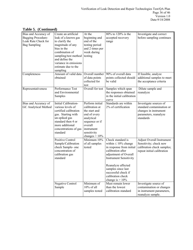| Table 5. (Continued) |  |
|----------------------|--|
|----------------------|--|

| Bias and Accuracy of<br>Bagging Procedure-<br>Leak Rate Check for<br><b>Bag Sampling</b> | Create an artificial<br>leak of a known gas<br>to clarify the<br>magnitude of any<br>bias in the<br>combination of<br>sampling/test method<br>and define the<br>variance in emissions<br>estimate due to the<br>sampling | At the<br>beginning and<br>end of the<br>testing period<br>and 2 times per<br>week during<br>testing                                                           | 80% to 120% is the<br>accepted recovery<br>range                                                                                                                                                                                                                        | Investigate and correct<br>before sampling continues                                                                   |
|------------------------------------------------------------------------------------------|--------------------------------------------------------------------------------------------------------------------------------------------------------------------------------------------------------------------------|----------------------------------------------------------------------------------------------------------------------------------------------------------------|-------------------------------------------------------------------------------------------------------------------------------------------------------------------------------------------------------------------------------------------------------------------------|------------------------------------------------------------------------------------------------------------------------|
| Completeness                                                                             | Amount of valid data<br>obtained                                                                                                                                                                                         | Overall number<br>of data points<br>collected for<br>test                                                                                                      | 90% of overall data<br>points collected should<br>be valid                                                                                                                                                                                                              | If feasible, analyze<br>additional samples to meet<br>the acceptance criteria                                          |
| Representativeness                                                                       | Performance Test<br>and Environmental<br>Samples                                                                                                                                                                         | Overall for test                                                                                                                                               | Samples which span<br>the responses obtained<br>in the initial calibration<br>curve                                                                                                                                                                                     | Dilute sample and<br>reanalyze                                                                                         |
| Bias and Accuracy of<br>GC Analytical Method                                             | Initial Calibration-<br>various levels of<br>certified calibration<br>gas. Starting with<br>un-spiked gas<br>standard then 4 or<br>more additional<br>concentrations of gas<br>standard                                  | Perform initial<br>calibration at<br>the start and<br>end of every<br>analytical<br>sequence or if<br>overall<br>instrument<br>sensitivity<br>changes $> 10\%$ | Standards are within<br>2% of certification                                                                                                                                                                                                                             | Investigate sources of<br>standard contamination or<br>changes in instrument<br>parameters, reanalyze<br>standards     |
|                                                                                          | <b>Positive Control</b><br>Sample/Calibration<br>check Sample- one<br>concentration of<br>calibration gas<br>standard                                                                                                    | Minimum 10%<br>of all samples<br>tested                                                                                                                        | Check standard is<br>within $\leq 10\%$ change<br>in response from initial<br>calibration after<br>adjustment of Overall<br><b>Instrument Sensitivity</b><br>Reanalyze affected<br>samples since last<br>successful check if<br>calibration check<br>change is $> 10\%$ | <b>Adjust Overall Instrument</b><br>Sensitivity; check new<br>calibration check samples;<br>repeat initial calibration |
|                                                                                          | <b>Negative Control</b><br>Sample                                                                                                                                                                                        | Minimum of<br>10% of all<br>samples tested                                                                                                                     | Must remain lower<br>than the lowest<br>calibration standard                                                                                                                                                                                                            | Investigate source of<br>contamination or changes<br>in instrument parameters,<br>reanalyze sample.                    |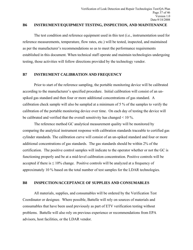#### <span id="page-36-0"></span>**B6 INSTRUMENT/EQUIPMENT TESTING, INSPECTION, AND MAINTENANCE**

The test condition and reference equipment used in this test (i.e., instrumentation used for reference measurements, temperature, flow rates, etc.) will be tested, inspected, and maintained as per the manufacturer's recommendations so as to meet the performance requirements established in this document. When technical staff operate and maintain technologies undergoing testing, those activities will follow directions provided by the technology vendor.

# **B7 INSTRUMENT CALIBRATION AND FREQUENCY**

Prior to start of the reference sampling, the portable monitoring device will be calibrated according to the manufacturer's specified procedure. Initial calibration will consist of an unspiked gas standard and then four or more additional concentrations of gas standard. A calibration check sample will also be sampled at a minimum of 5 % of the samples to verify the calibration of the portable monitoring device over time. On each day of testing the device will be calibrated and verified that the overall sensitivity has changed < 10 %.

The reference method GC analytical measurement quality will be monitored by comparing the analytical instrument response with calibration standards traceable to certified gas cylinder standards. The calibration curve will consist of an un-spiked standard and four or more additional concentrations of gas standards. The gas standards should be within 2% of the certification. The positive control samples will indicate to the operator whether or not the GC is functioning properly and be at a mid-level calibration concentration. Positive controls will be accepted if there is  $\leq 10\%$  change. Positive controls will be analyzed at a frequency of approximately 10 % based on the total number of test samples for the LDAR technologies.

# **B8 INSPECTION/ACCEPTANCE OF SUPPLIES AND CONSUMABLES**

All materials, supplies, and consumables will be ordered by the Verification Test Coordinator or designee. Where possible, Battelle will rely on sources of materials and consumables that have been used previously as part of ETV verification testing without problems. Battelle will also rely on previous experience or recommendations from EPA advisors, host facilities, or the LDAR vendor.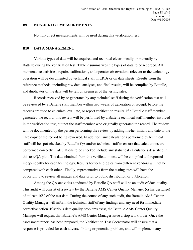#### <span id="page-37-0"></span>**B9 NON-DIRECT MEASUREMENTS**

No non-direct measurements will be used during this verification test.

#### **B10 DATA MANAGEMENT**

Various types of data will be acquired and recorded electronically or manually by Battelle during the verification test. Table 2 summarizes the types of data to be recorded. All maintenance activities, repairs, calibrations, and operator observations relevant to the technology operation will be documented by technical staff in LRBs or on data sheets. Results from the reference methods, including raw data, analyses, and final results, will be compiled by Battelle, and duplicates of the data will be left on premises of the testing sites.

Records received by or generated by any technical staff during the verification test will be reviewed by a Battelle staff member within two weeks of generation or receipt, before the records are used to calculate, evaluate, or report verification results. If a Battelle staff member generated the record, this review will be performed by a Battelle technical staff member involved in the verification test, but not the staff member who originally generated the record. The review will be documented by the person performing the review by adding his/her initials and date to the hard copy of the record being reviewed. In addition, any calculations performed by technical staff will be spot-checked by Battelle QA and/or technical staff to ensure that calculations are performed correctly. Calculations to be checked include any statistical calculations described in this test/QA plan. The data obtained from this verification test will be compiled and reported independently for each technology. Results for technologies from different vendors will not be compared with each other. Finally, representatives from the testing sites will have the opportunity to review all images and data prior to public distribution or publication.

Among the QA activities conducted by Battelle QA staff will be an audit of data quality. This audit will consist of a review by the Battelle AMS Center Quality Manager (or his designee) of at least 10% of the test data. During the course of any such audit, the Battelle AMS Center Quality Manager will inform the technical staff of any findings and any need for immediate corrective action. If serious data quality problems exist, the Battelle AMS Center Quality Manager will request that Battelle's AMS Center Manager issue a stop work order. Once the assessment report has been prepared, the Verification Test Coordinator will ensure that a response is provided for each adverse finding or potential problem, and will implement any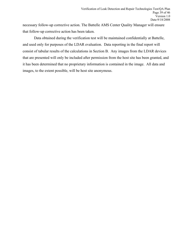necessary follow-up corrective action. The Battelle AMS Center Quality Manager will ensure that follow-up corrective action has been taken.

Data obtained during the verification test will be maintained confidentially at Battelle, and used only for purposes of the LDAR evaluation. Data reporting in the final report will consist of tabular results of the calculations in Section B. Any images from the LDAR devices that are presented will only be included after permission from the host site has been granted, and it has been determined that no proprietary information is contained in the image. All data and images, to the extent possible, will be host site anonymous.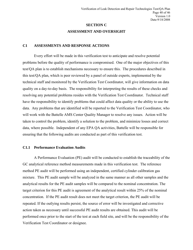# **SECTION C ASSESSMENT AND OVERSIGHT**

## <span id="page-39-0"></span>**C1 ASSESSMENTS AND RESPONSE ACTIONS**

Every effort will be made in this verification test to anticipate and resolve potential problems before the quality of performance is compromised. One of the major objectives of this test/QA plan is to establish mechanisms necessary to ensure this. The procedures described in this test/QA plan, which is peer reviewed by a panel of outside experts, implemented by the technical staff and monitored by the Verification Test Coordinator, will give information on data quality on a day-to-day basis. The responsibility for interpreting the results of these checks and resolving any potential problems resides with the Verification Test Coordinator. Technical staff have the responsibility to identify problems that could affect data quality or the ability to use the data. Any problems that are identified will be reported to the Verification Test Coordinator, who will work with the Battelle AMS Center Quality Manager to resolve any issues. Action will be taken to control the problem, identify a solution to the problem, and minimize losses and correct data, where possible. Independent of any EPA QA activities, Battelle will be responsible for ensuring that the following audits are conducted as part of this verification test.

## **C1.1 Performance Evaluation Audits**

A Performance Evaluation (PE) audit will be conducted to establish the traceability of the GC analytical reference method measurements made in this verification test. The reference method PE audit will be performed using an independent, certified cylinder calibration gas mixture. This PE audit sample will be analyzed in the same manner as all other samples and the analytical results for the PE audit samples will be compared to the nominal concentration. The target criterion for this PE audit is agreement of the analytical result within 25% of the nominal concentration. If the PE audit result does not meet the target criterion, the PE audit will be repeated. If the outlying results persist, the source of error will be investigated and corrective action taken as necessary until successful PE audit results are obtained. This audit will be performed once prior to the start of the test at each field site, and will be the responsibility of the Verification Test Coordinator or designee.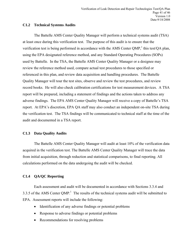# **C1.2 Technical Systems Audits**

The Battelle AMS Center Quality Manager will perform a technical systems audit (TSA) at least once during this verification test. The purpose of this audit is to ensure that the verification test is being performed in accordance with the AMS Center QMP,<sup>1</sup> this test/QA plan, using the EPA designated reference method, and any Standard Operating Procedures (SOPs) used by Battelle. In the TSA, the Battelle AMS Center Quality Manager or a designee may review the reference method used, compare actual test procedures to those specified or referenced in this plan, and review data acquisition and handling procedures. The Battelle Quality Manager will tour the test sites, observe and review the test procedures, and review record books. He will also check calibration certifications for test measurement devices. A TSA report will be prepared, including a statement of findings and the actions taken to address any adverse findings. The EPA AMS Center Quality Manager will receive a copy of Battelle's TSA report. At EPA's discretion, EPA QA staff may also conduct an independent on-site TSA during the verification test. The TSA findings will be communicated to technical staff at the time of the audit and documented in a TSA report.

# **C1.3 Data Quality Audits**

The Battelle AMS Center Quality Manager will audit at least 10% of the verification data acquired in the verification test. The Battelle AMS Center Quality Manager will trace the data from initial acquisition, through reduction and statistical comparisons, to final reporting. All calculations performed on the data undergoing the audit will be checked.

# **C1.4 QA/QC Reporting**

Each assessment and audit will be documented in accordance with Sections 3.3.4 and 3.3.5 of the AMS Center QMP.<sup>1</sup> The results of the technical systems audit will be submitted to EPA. Assessment reports will include the following:

- Identification of any adverse findings or potential problems
- Response to adverse findings or potential problems
- Recommendations for resolving problems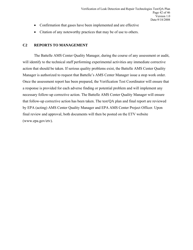- <span id="page-41-0"></span>• Confirmation that gases have been implemented and are effective
- Citation of any noteworthy practices that may be of use to others.

# **C2 REPORTS TO MANAGEMENT**

The Battelle AMS Center Quality Manager, during the course of any assessment or audit, will identify to the technical staff performing experimental activities any immediate corrective action that should be taken. If serious quality problems exist, the Battelle AMS Center Quality Manager is authorized to request that Battelle's AMS Center Manager issue a stop work order. Once the assessment report has been prepared, the Verification Test Coordinator will ensure that a response is provided for each adverse finding or potential problem and will implement any necessary follow-up corrective action. The Battelle AMS Center Quality Manager will ensure that follow-up corrective action has been taken. The test/QA plan and final report are reviewed by EPA (acting) AMS Center Quality Manager and EPA AMS Center Project Officer. Upon final review and approval, both documents will then be posted on the ETV website (www.epa.gov/etv).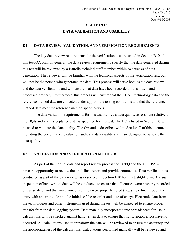# **SECTION D DATA VALIDATION AND USABILITY**

#### <span id="page-42-0"></span>**D1 DATA REVIEW, VALIDATION, AND VERIFICATION REQUIREMENTS**

The key data review requirements for the verification test are stated in Section B10 of this test/QA plan. In general, the data review requirements specify that the data generated during this test will be reviewed by a Battelle technical staff member within two weeks of data generation. The reviewer will be familiar with the technical aspects of the verification test, but will not be the person who generated the data. This process will serve both as the data review and the data verification, and will ensure that data have been recorded, transmitted, and processed properly. Furthermore, this process will ensure that the LDAR technology data and the reference method data are collected under appropriate testing conditions and that the reference method data meet the reference method specifications.

The data validation requirements for this test involve a data quality assessment relative to the DQIs and audit acceptance criteria specified for this test. The DQIs listed in Section B5 will be used to validate the data quality. The QA audits described within Section C of this document, including the performance evaluation audit and data quality audit, are designed to validate the data quality.

#### **D2 VALIDATION AND VERIFICATION METHODS**

As part of the normal data and report review process the TCEQ and the US EPA will have the opportunity to review the draft final report and provide comments. Data verification is conducted as part of the data review, as described in Section B10 for this test/QA plan. A visual inspection of handwritten data will be conducted to ensure that all entries were properly recorded or transcribed, and that any erroneous entries were properly noted (i.e., single line through the entry with an error code and the initials of the recorder and date of entry). Electronic data from the technologies and other instruments used during the test will be inspected to ensure proper transfer from the data logging system. Data manually incorporated into spreadsheets for use in calculations will be checked against handwritten data to ensure that transcription errors have not occurred. All calculations used to transform the data will be reviewed to ensure the accuracy and the appropriateness of the calculations. Calculations performed manually will be reviewed and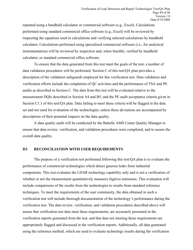<span id="page-43-0"></span>repeated using a handheld calculator or commercial software (e.g., Excel). Calculations performed using standard commercial office software (e.g., Excel) will be reviewed by inspecting the equations used in calculations and verifying selected calculations by handheld calculator. Calculations performed using specialized commercial software (i.e., for analytical instrumentation) will be reviewed by inspection and, when feasible, verified by handheld calculator, or standard commercial office software.

To ensure that the data generated from this test meet the goals of the test, a number of data validation procedures will be performed. Section C of this test/QA plan provides a description of the validation safeguards employed for this verification test. Data validation and verification efforts include the completion of QC activities and the performance of TSA and PE audits as described in Section C. The data from this test will be evaluated relative to the measurement DQIs described in Section A4 and B5, and the PE audit acceptance criteria given in Section C1.1 of this test/QA plan. Data failing to meet these criteria will be flagged in the data set and not used for evaluation of the technologies, unless these deviations are accompanied by descriptions of their potential impacts on the data quality.

A data quality audit will be conducted by the Battelle AMS Center Quality Manager to ensure that data review, verification, and validation procedures were completed, and to assure the overall data quality.

## **D3 RECONCILIATION WITH USER REQUIREMENTS**

The purpose of a verification test performed following this test/QA plan is to evaluate the performance of commercial technologies which detect gaseous leaks from industrial components. This test evaluates the LDAR technology capability only and is not a verification of whether or not the measurement quantitatively measures fugitive emissions. This evaluation will include comparisons of the results from the technologies to results from standard reference techniques. To meet the requirements of the user community, the data obtained in such a verification test will include thorough documentation of the technology's performance during the verification test. The data review, verification, and validation procedures described above will assure that verification test data meet these requirements, are accurately presented in the verification reports generated from the test, and that data not meeting these requirements are appropriately flagged and discussed in the verification reports. Additionally, all data generated using the reference method, which are used to evaluate technology results during the verification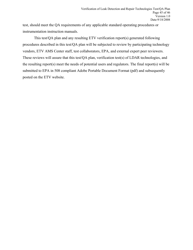test, should meet the QA requirements of any applicable standard operating procedures or instrumentation instruction manuals.

This test/QA plan and any resulting ETV verification report(s) generated following procedures described in this test/QA plan will be subjected to review by participating technology vendors, ETV AMS Center staff, test collaborators, EPA, and external expert peer reviewers. These reviews will assure that this test/QA plan, verification test(s) of LDAR technologies, and the resulting report(s) meet the needs of potential users and regulators. The final report(s) will be submitted to EPA in 508 compliant Adobe Portable Document Format (pdf) and subsequently posted on the ETV website.